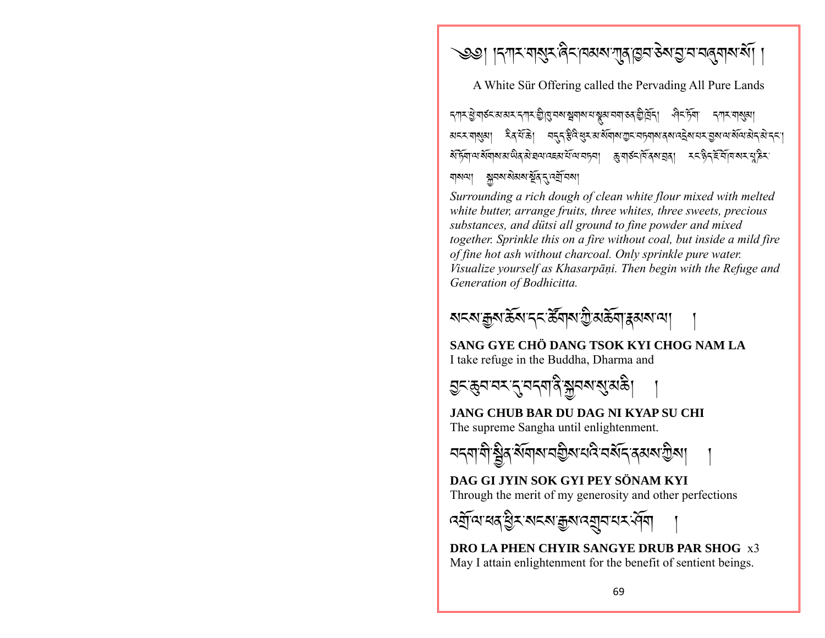্তত। ।ন্দাম নামুম ৰিমানঅম দাৰাগুন ৰূপ প্ৰান নৰ্বনাম মাঁ ।

A White Sür Offering called the Pervading All Pure Lands

*ম্*শমপ্ত বাৰ্ষমখনে স্পৰ্য শ্ৰীষ্মেৰ স্বৰ্ষমান স্বৰুত্ত বিদ্ৰুত্তি কৰি পৰি দিয়া দিয়া স্বৰ্ষমা रैदर्भके। म्ह्र्ह्रिदेसुर अर्थगयगुर महन्या दयदिय पर उत्राव्य सेव्य अन्हा মন্মস্মমা বাঝনা সুনমাময়মার্ষূর নব্রানমা

Surrounding a rich dough of clean white flour mixed with melted white butter, arrange fruits, three whites, three sweets, precious substances, and dütsi all ground to fine powder and mixed together. Sprinkle this on a fire without coal, but inside a mild fire of fine hot ash without charcoal. Only sprinkle pure water. Visualize yourself as Khasarpāņi. Then begin with the Refuge and Generation of Bodhicitta.



SANG GYE CHÖ DANG TSOK KYI CHOG NAM LA I take refuge in the Buddha, Dharma and

**JANG CHUB BAR DU DAG NI KYAP SU CHI** The supreme Sangha until enlightenment.



DAG GLIYIN SOK GYI PEY SÖNAM KYI Through the merit of my generosity and other perfections

**DRO LA PHEN CHYIR SANGYE DRUB PAR SHOG x3** May I attain enlightenment for the benefit of sentient beings.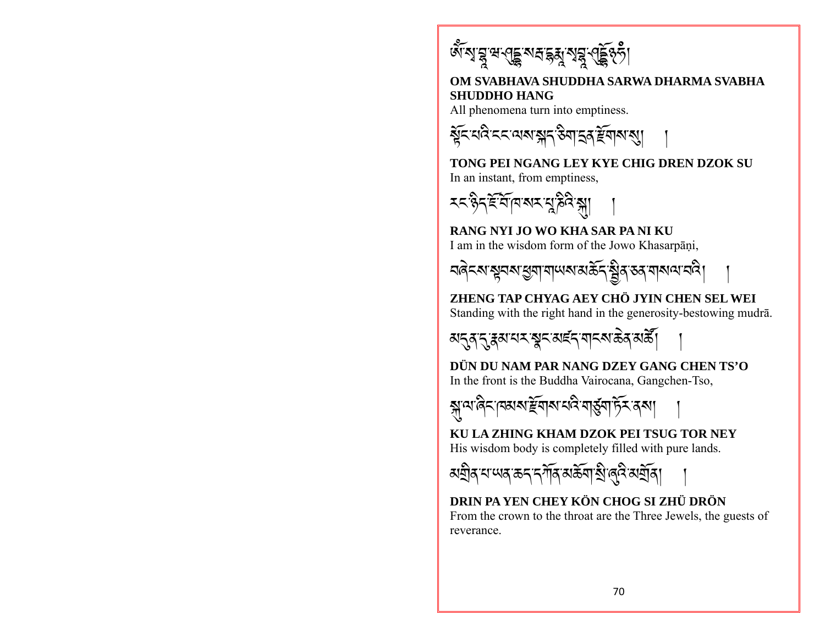

### OM SVABHAVA SHUDDHA SARWA DHARMA SVABHA **SHUDDHO HANG**

All phenomena turn into emptiness.



TONG PEI NGANG LEY KYE CHIG DREN DZOK SU In an instant, from emptiness,



RANG NYI JO WO KHA SAR PA NI KU I am in the wisdom form of the Jowo Khasarpāṇi,

বৰ্নকাশ্বনৰাস্ত্ৰশামাঅমক্তিক ব্ৰীৰাস্কামানবী

ZHENG TAP CHYAG AEY CHÖ JYIN CHEN SEL WEI Standing with the right hand in the generosity-bestowing mudrā.

མ<del>८</del>३ॱ८ॱ३য়ॱय़ঽॱৠৢ৲ॱয়౾৲ॱয়ঌয়৽ঌৡ৻য়য়

DÜN DU NAM PAR NANG DZEY GANG CHEN TS'O In the front is the Buddha Vairocana, Gangchen-Tso,



KU LA ZHING KHAM DZOK PEI TSUG TOR NEY His wisdom body is completely filled with pure lands.

*ম*হীৰ বান্দৰ কৰ বৰ্ণীৰ অৰ্ক্তবা হীত্ত্বি অৰ্হীৰ।

DRIN PA YEN CHEY KÖN CHOG SI ZHÜ DRÖN From the crown to the throat are the Three Jewels, the guests of reverance.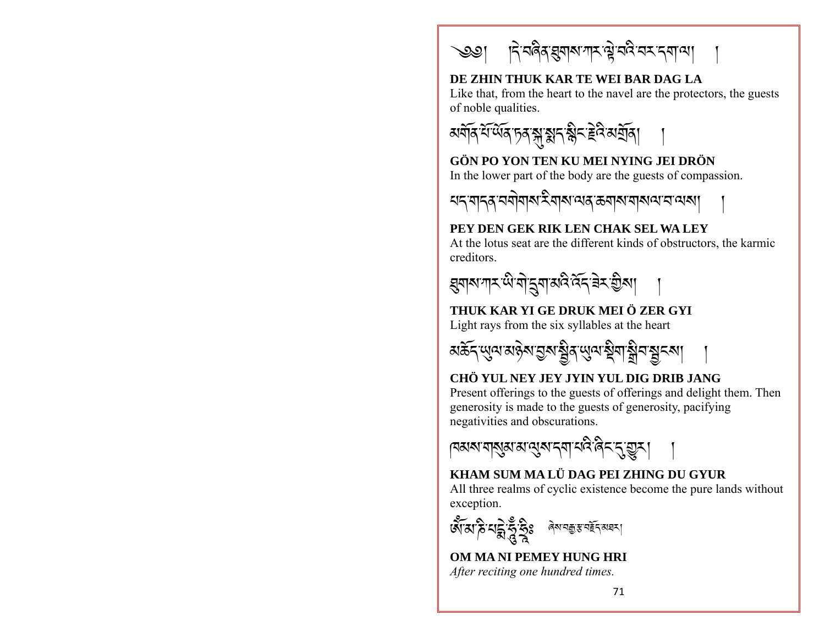্জ্ঞা দিম্বৰৰ ব্ৰমাৰ শিল্প প্ৰয়ে প্ৰয়োগ্য

#### DE ZHIN THUK KAR TE WEI BAR DAG LA

Like that, from the heart to the navel are the protectors, the guests of noble qualities.



#### GÖN PO YON TEN KU MEI NYING JEI DRÖN In the lower part of the body are the guests of compassion.

# PEY DEN GEK RIK LEN CHAK SEL WA LEY

At the lotus seat are the different kinds of obstructors, the karmic creditors



# THUK KAR YI GE DRUK MEI Ö ZER GYI

Light rays from the six syllables at the heart



#### CHÖ YUL NEY JEY JYIN YUL DIG DRIB JANG

Present offerings to the guests of offerings and delight them. Then generosity is made to the guests of generosity, pacifying negativities and obscurations.

|বঝঝ'বাঝুঝ'ঝ'ঝুম'ন্বা'নবি'ৰিন'ন্'্যুম।

# KHAM SUM MA LÜ DAG PEI ZHING DU GYUR

All three realms of cyclic existence become the pure lands without exception.

अँ अद्भि सुर्द्ध के अन्य अस्ति अन्य

# OM MA NI PEMEY HUNG HRI

After reciting one hundred times.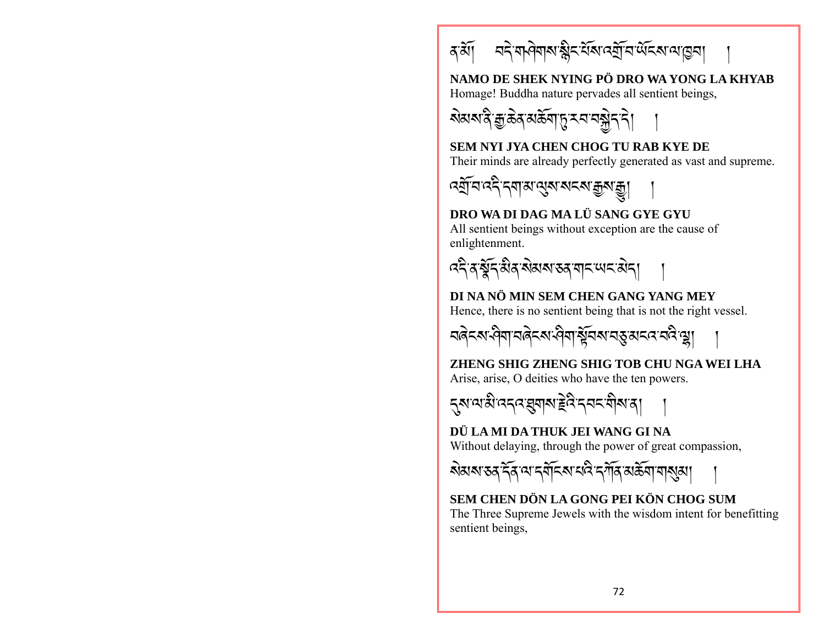

NAMO DE SHEK NYING PÖ DRO WA YONG LA KHYAB Homage! Buddha nature pervades all sentient beings,



#### **SEM NYI JYA CHEN CHOG TU RAB KYE DE** Their minds are already perfectly generated as vast and supreme.



# DRO WA DI DAG MA LÜ SANG GYE GYU

All sentient beings without exception are the cause of enlightenment.



# DI NA NÕ MIN SEM CHEN GANG YANG MEY

Hence, there is no sentient being that is not the right vessel.



# ZHENG SHIG ZHENG SHIG TOB CHU NGA WEI LHA

Arise, arise, O deities who have the ten powers.



#### DÜ LA MI DA THUK JEI WANG GI NA

Without delaying, through the power of great compassion,



# SEM CHEN DÖN LA GONG PEI KÖN CHOG SUM

The Three Supreme Jewels with the wisdom intent for benefitting sentient beings,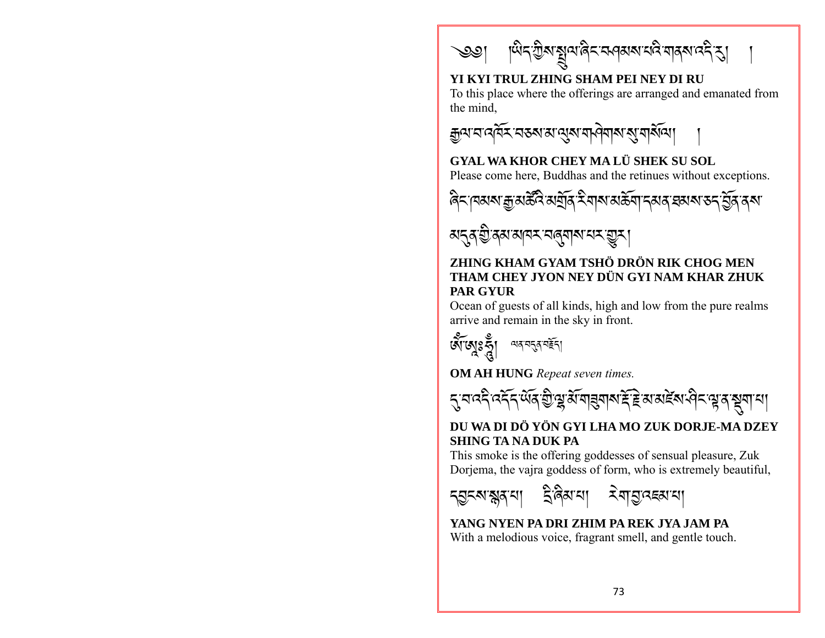

# YI KYI TRUL ZHING SHAM PEI NEY DI RU

To this place where the offerings are arranged and emanated from the mind.

**GYAL WA KHOR CHEY MA LÜ SHEK SU SOL** Please come here, Buddhas and the retinues without exceptions.

মন্ত্ৰ শ্ৰীৰ্ম মানম নৰ্মানম <u>শ্ৰু</u>মা

#### ZHING KHAM GYAM TSHÖ DRÖN RIK CHOG MEN THAM CHEY JYON NEY DÜN GYI NAM KHAR ZHUK **PAR GYUR**

Ocean of guests of all kinds, high and low from the pure realms arrive and remain in the sky in front.



**OM AH HUNG** Repeat seven times.



#### DU WA DI DÖ YÖN GYI LHA MO ZUK DORJE-MA DZEY **SHING TA NA DUK PA**

This smoke is the offering goddesses of sensual pleasure, Zuk Dorjema, the vajra goddess of form, who is extremely beautiful,



YANG NYEN PA DRI ZHIM PA REK JYA JAM PA With a melodious voice, fragrant smell, and gentle touch.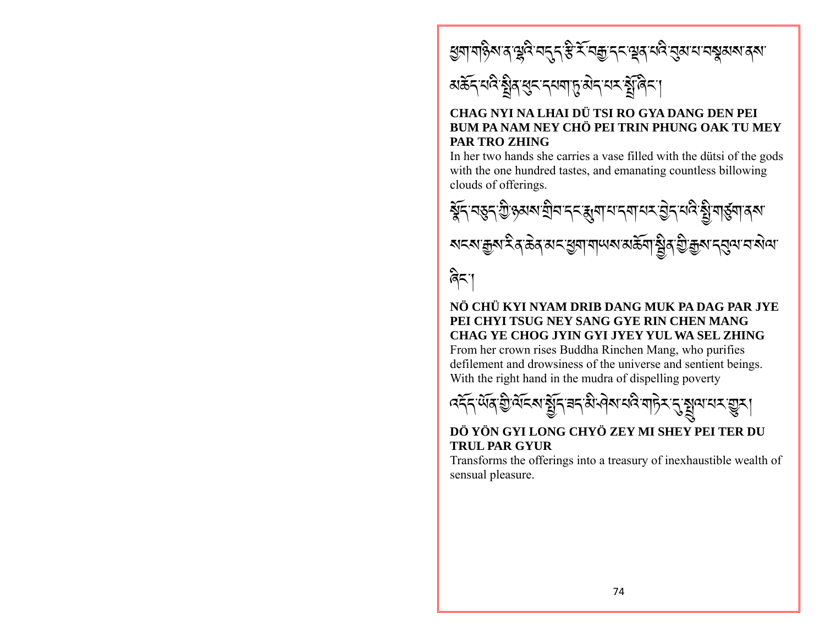# ধ্ৰমামষ্টিম্যৰ শ্লুবি বৰ্<sub>ন</sub> স্ত্ৰী<sup>ক্</sup>বক্কুদ্ন শ্লুৰ্ম্বৰ্ষ ব্ৰূৱ্য ব্যৱস্থা ৰূম্য

# अर्केन् यदि श्रेव सुन्द्र नयबाहु सेन् यर श्रेविन् ।

#### CHAG NYI NA LHAI DÜ TSI RO GYA DANG DEN PEI BUM PA NAM NEY CHÖ PEI TRIN PHUNG OAK TU MEY **PAR TRO ZHING**

In her two hands she carries a vase filled with the dutsi of the gods with the one hundred tastes, and emanating countless billowing clouds of offerings.



# NÖ CHÜ KYI NYAM DRIB DANG MUK PA DAG PAR JYE PEI CHYI TSUG NEY SANG GYE RIN CHEN MANG CHAG YE CHOG JYIN GYI JYEY YUL WA SEL ZHING

From her crown rises Buddha Rinchen Mang, who purifies defilement and drowsiness of the universe and sentient beings. With the right hand in the mudra of dispelling poverty

$$
\mathcal{R} = \mathcal{R} = \mathcal{R} = \mathcal{R} = \mathcal{R}
$$

#### DÖ YÖN GYI LONG CHYÖ ZEY MI SHEY PEI TER DU **TRUL PAR GYUR**

Transforms the offerings into a treasury of inexhaustible wealth of sensual pleasure.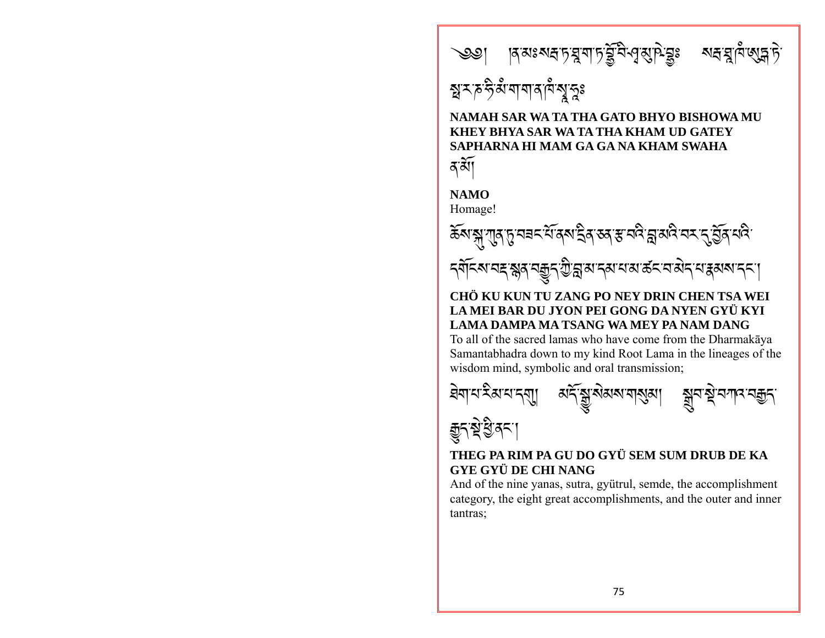

# *ন্নুমচন্ট*ৰ্মশাশাৰ্মশম্বুহুঃ

#### NAMAH SAR WA TA THA GATO BHYO BISHOWA MU **KHEY BHYA SAR WA TA THA KHAM UD GATEY** SAPHARNA HI MAM GA GA NA KHAM SWAHA

दॅ वै।

**NAMO** 

Homage!





#### CHÖ KU KUN TU ZANG PO NEY DRIN CHEN TSA WEI LA MEI BAR DU JYON PEI GONG DA NYEN GYÜ KYI LAMA DAMPA MA TSANG WA MEY PA NAM DANG

To all of the sacred lamas who have come from the Dharmakaya Samantabhadra down to my kind Root Lama in the lineages of the wisdom mind, symbolic and oral transmission;



### THEG PA RIM PA GU DO GYÜ SEM SUM DRUB DE KA **GYE GYÜ DE CHI NANG**

And of the nine yanas, sutra, gyütrul, semde, the accomplishment category, the eight great accomplishments, and the outer and inner tantras: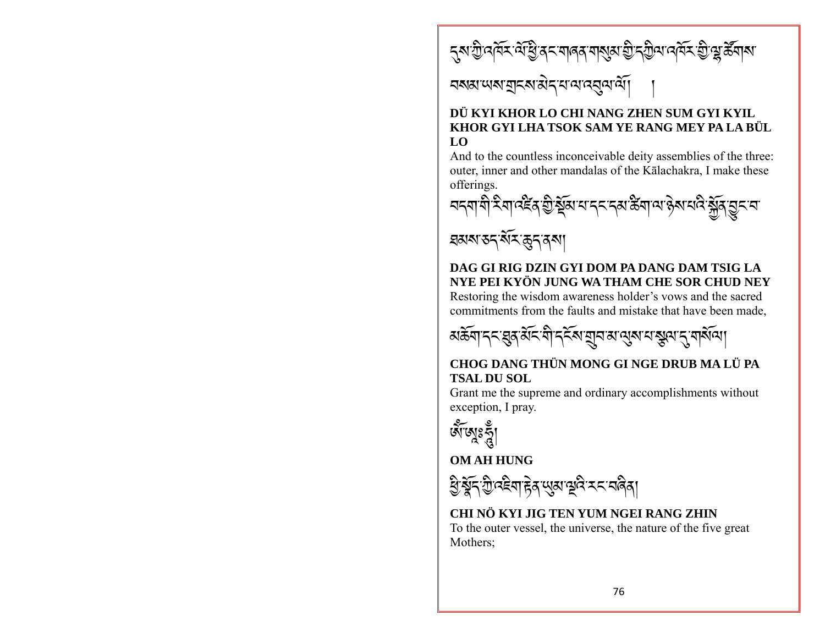<u>্ব</u>ৰাস্ত্ৰী বৰ্বিমাৰী বিমানৰ বাৰ্ত্তৰ আৰু বিমানৰ বিমান্ত বুলি বিমান

# <u> বৰ্ষমাত্মৰাব্ৰাই বিভিন্ন বিভিন্ন বিভিন্ন বিভিন্ন</u>

#### DÜ KYI KHOR LO CHI NANG ZHEN SUM GYI KYIL KHOR GYI LHA TSOK SAM YE RANG MEY PA LA BÜL LO

And to the countless inconceivable deity assemblies of the three: outer, inner and other mandalas of the Kālachakra, I make these offerings.



# য়য়য়ৼঽৼড়ড়ড়য় DAG GI RIG DZIN GYI DOM PA DANG DAM TSIG LA NYE PEI KYÖN JUNG WA THAM CHE SOR CHUD NEY

Restoring the wisdom awareness holder's vows and the sacred commitments from the faults and mistake that have been made,



#### CHOG DANG THÜN MONG GI NGE DRUB MA LÜ PA **TSAL DU SOL**

Grant me the supreme and ordinary accomplishments without exception, I pray.



**OM AH HUNG** 



#### CHI NÖ KYI JIG TEN YUM NGEI RANG ZHIN

To the outer vessel, the universe, the nature of the five great Mothers: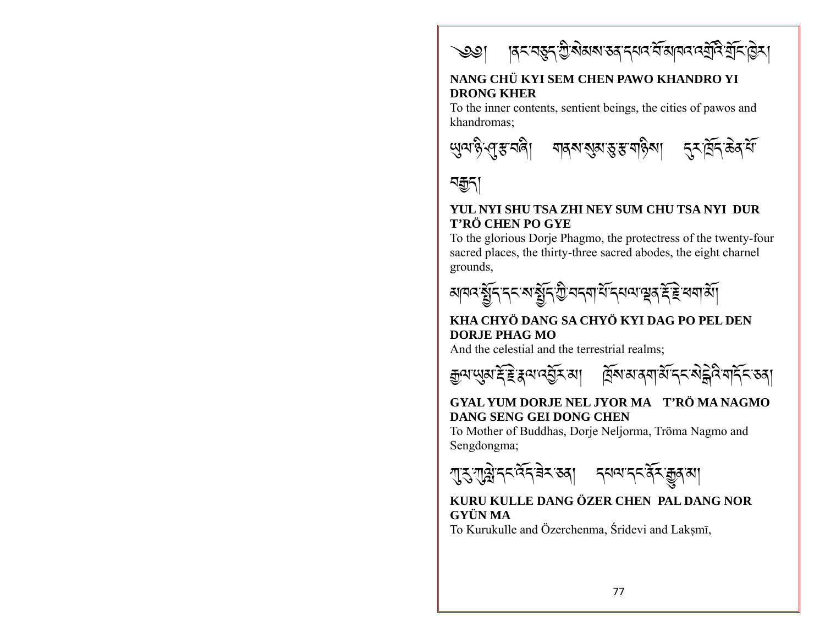

#### NANG CHÜ KYI SEM CHEN PAWO KHANDRO YI **DRONG KHER**

To the inner contents, sentient beings, the cities of pawos and khandromas:





#### YUL NYI SHU TSA ZHI NEY SUM CHU TSA NYI DUR T'RÖ CHEN PO GYE

To the glorious Dorje Phagmo, the protectress of the twenty-four sacred places, the thirty-three sacred abodes, the eight charnel grounds.



#### KHA CHYÖ DANG SA CHYÖ KYI DAG PO PEL DEN DORJE PHAG MO

And the celestial and the terrestrial realms;



#### GYAL YUM DORJE NEL JYOR MA T'RÖ MA NAGMO **DANG SENG GEI DONG CHEN**

To Mother of Buddhas, Dorje Neljorma, Tröma Nagmo and Sengdongma;



#### KURU KULLE DANG ÖZER CHEN PAL DANG NOR GYÜN MA

To Kurukulle and Özerchenma, Śridevi and Laksmī,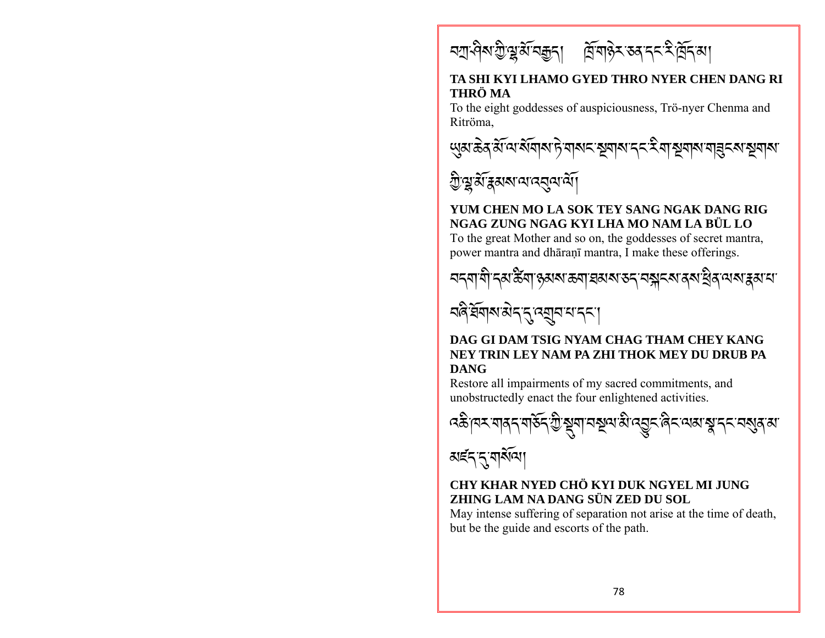

#### TA SHI KYI LHAMO GYED THRO NYER CHEN DANG RI THRÖ MA

To the eight goddesses of auspiciousness, Trö-nyer Chenma and Ritröma.





### YUM CHEN MO LA SOK TEY SANG NGAK DANG RIG NGAG ZUNG NGAG KYI LHA MO NAM LA BÜL LO

To the great Mother and so on, the goddesses of secret mantra, power mantra and dhāranī mantra, I make these offerings.





#### DAG GI DAM TSIG NYAM CHAG THAM CHEY KANG NEY TRIN LEY NAM PA ZHI THOK MEY DU DRUB PA **DANG**

Restore all impairments of my sacred commitments, and unobstructedly enact the four enlightened activities.



#### CHY KHAR NYED CHÖ KYI DUK NGYEL MLJUNG ZHING LAM NA DANG SÜN ZED DU SOL

May intense suffering of separation not arise at the time of death, but be the guide and escorts of the path.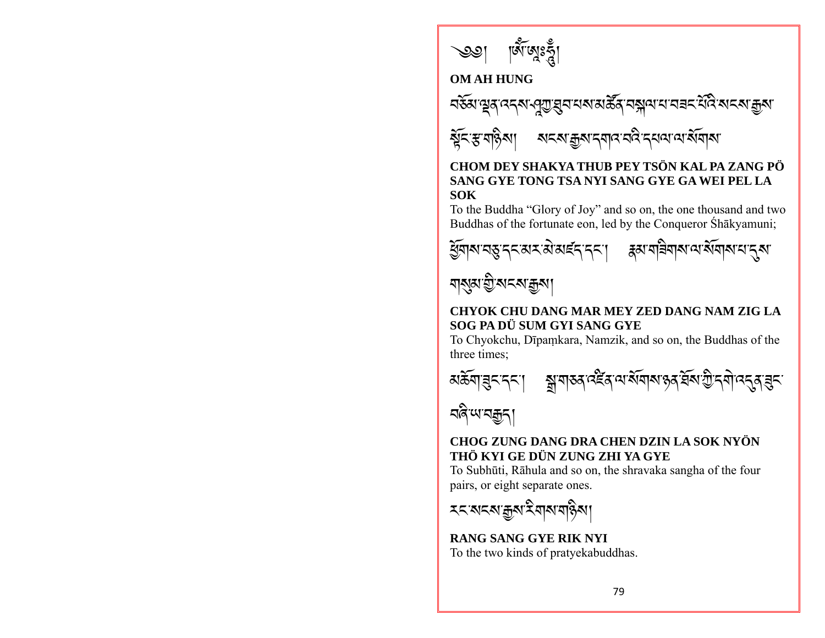

#### **OM AH HUNG**



# ষ্টুনস্কর্মান্ত্রমান্ত্রমান্মান্ত বিদ্রোন্ন বিদ্রা

#### CHOM DEY SHAKYA THUB PEY TSÖN KAL PA ZANG PÖ SANG GYE TONG TSA NYI SANG GYE GA WEI PEL LA **SOK**

To the Buddha "Glory of Joy" and so on, the one thousand and two Buddhas of the fortunate eon, led by the Conqueror Śhākyamuni;



# <u> মামুম'ন্ড্ৰী'মানমাক্কুমা</u>

#### CHYOK CHU DANG MAR MEY ZED DANG NAM ZIG LA SOG PA DÜ SUM GYI SANG GYE

To Chyokchu, Dīpamkara, Namzik, and so on, the Buddhas of the three times:





#### CHOG ZUNG DANG DRA CHEN DZIN LA SOK NYÖN THỔ KYI GE DỮN ZUNG ZHI YA GYE

To Subhūti, Rāhula and so on, the shravaka sangha of the four pairs, or eight separate ones.

## **RANG SANG GYE RIK NYI**

To the two kinds of pratyekabuddhas.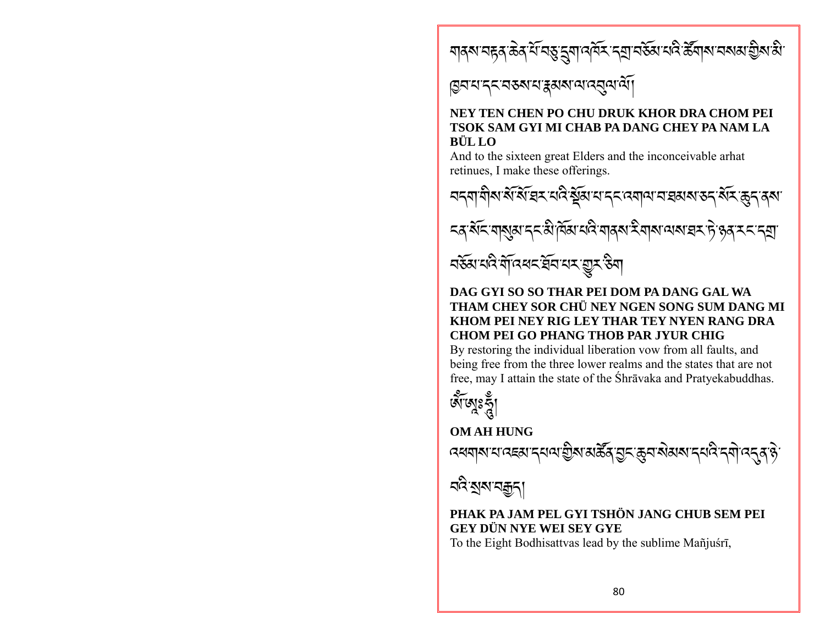য়ঀঌৼয়ৼড়ঀড়৻ৼ৻৸ঀৼয়য়৸৻৸ৼ৸ৼ৸৸ৼ৸ৼ৻৻৸৸৸৸৸৸ৼঢ়৸ড়৻

# ড়য়য়ৼ৴ৼড়৶য়ৼঀড়৸ড়৻ড়৻ড়৻

#### NEY TEN CHEN PO CHU DRUK KHOR DRA CHOM PEI TSOK SAM GYI MI CHAB PA DANG CHEY PA NAM LA BÜL LO

And to the sixteen great Elders and the inconceivable arhat retinues, I make these offerings.



#### DAG GYI SO SO THAR PEI DOM PA DANG GAL WA THAM CHEY SOR CHÜ NEY NGEN SONG SUM DANG MI KHOM PEI NEY RIG LEY THAR TEY NYEN RANG DRA **CHOM PEI GO PHANG THOB PAR JYUR CHIG**

By restoring the individual liberation vow from all faults, and being free from the three lower realms and the states that are not free, may I attain the state of the Shravaka and Pratyekabuddhas.



**OM AH HUNG** 

# বন্ত্ৰ <u>স</u>ম্মবক্কুন্

#### PHAK PA JAM PEL GYI TSHÖN JANG CHUB SEM PEI **GEY DÜN NYE WEI SEY GYE**

To the Eight Bodhisattvas lead by the sublime Mañjuśri,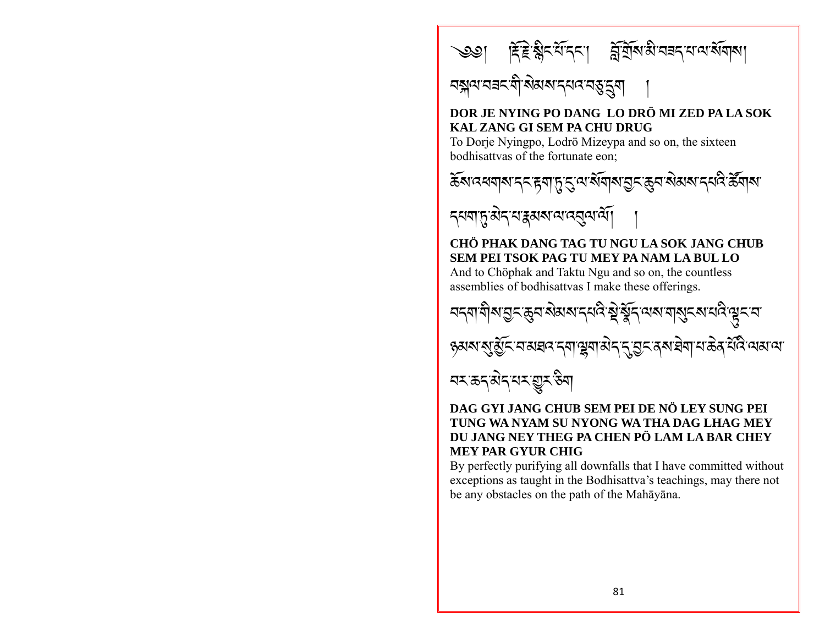

# <u>নক্স</u>ন্ম নৱন শীৰ্ষমৰ ন্যন ন্তুৰ্ম

## DOR JE NYING PO DANG LO DRÖ MI ZED PA LA SOK KAL ZANG GI SEM PA CHU DRUG

To Dorje Nyingpo, Lodrö Mizeypa and so on, the sixteen bodhisattvas of the fortunate eon:



ঽয়য়ঢ়ৢয়৾ঽয়য়য়য়য়ড়৻য়ড়

### CHÖ PHAK DANG TAG TU NGU LA SOK JANG CHUB SEM PEI TSOK PAG TU MEY PA NAM LA BUL LO

And to Chöphak and Taktu Ngu and so on, the countless assemblies of bodhisattvas I make these offerings.

ॸॸॵॷॴॶ<u>ऀ</u>ॾॷॎॻॷॺॴॳख़ॱॷॕख़ॕॖॖॳॕख़ख़ॴॳॕख़ॵख़ॕख़ॕॎख़ 

<u>ব্যক্তন্ত্ৰীন্দ্ৰয় উন্ম</u>

#### DAG GYLJANG CHUB SEM PEI DE NÖ LEY SUNG PEI TUNG WA NYAM SU NYONG WA THA DAG LHAG MEY DU JANG NEY THEG PA CHEN PÖ LAM LA BAR CHEY **MEY PAR GYUR CHIG**

By perfectly purifying all downfalls that I have committed without exceptions as taught in the Bodhisattva's teachings, may there not be any obstacles on the path of the Mahāyāna.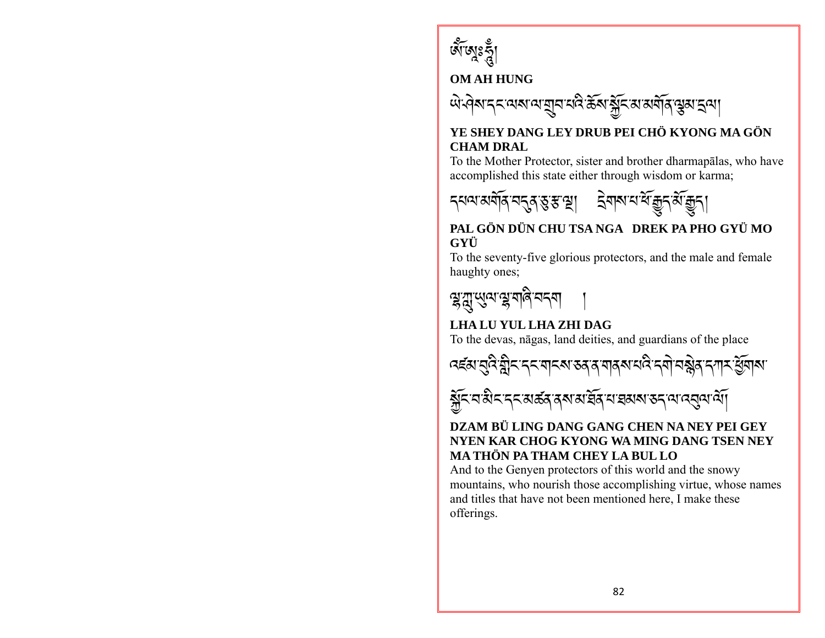

### **OM AH HUNG**



#### YE SHEY DANG LEY DRUB PEI CHÖ KYONG MA GÖN **CHAM DRAL**

To the Mother Protector, sister and brother dharmapalas, who have accomplished this state either through wisdom or karma:



#### PAL GÖN DÜN CHU TSA NGA DREK PA PHO GYÜ MO GYÜ

To the seventy-five glorious protectors, and the male and female haughty ones;



## LHA LU YUL LHA ZHI DAG

To the devas, nagas, land deities, and guardians of the place





#### DZAM BÜ LING DANG GANG CHEN NA NEY PEI GEY NYEN KAR CHOG KYONG WA MING DANG TSEN NEY MA THỒN PA THAM CHEY LA BUL LO

And to the Genyen protectors of this world and the snowy mountains, who nourish those accomplishing virtue, whose names and titles that have not been mentioned here. I make these offerings.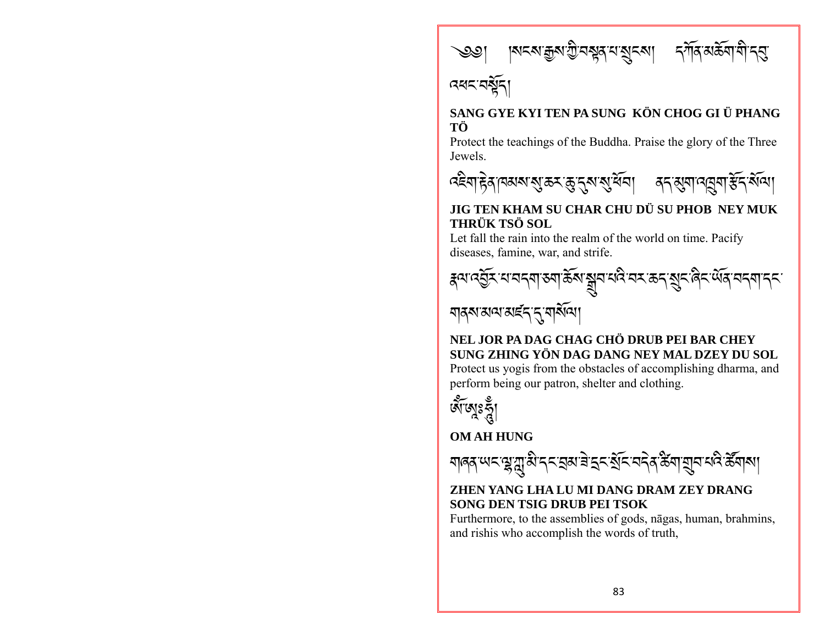



#### SANG GYE KYI TEN PA SUNG KÖN CHOG GI Ü PHANG ТÖ

Protect the teachings of the Buddha. Praise the glory of the Three **Jewels** 



### JIG TEN KHAM SU CHAR CHU DÜ SU PHOB NEY MUK **THRÜK TSÖ SOL**

Let fall the rain into the realm of the world on time. Pacify diseases, famine, war, and strife.



## NEL JOR PA DAG CHAG CHÖ DRUB PEI BAR CHEY SUNG ZHING YÖN DAG DANG NEY MAL DZEY DU SOL

Protect us yogis from the obstacles of accomplishing dharma, and perform being our patron, shelter and clothing.



# **OM AH HUNG**



#### ZHEN YANG LHA LU MI DANG DRAM ZEY DRANG SONG DEN TSIG DRUB PEI TSOK

Furthermore, to the assemblies of gods, nagas, human, brahmins, and rishis who accomplish the words of truth.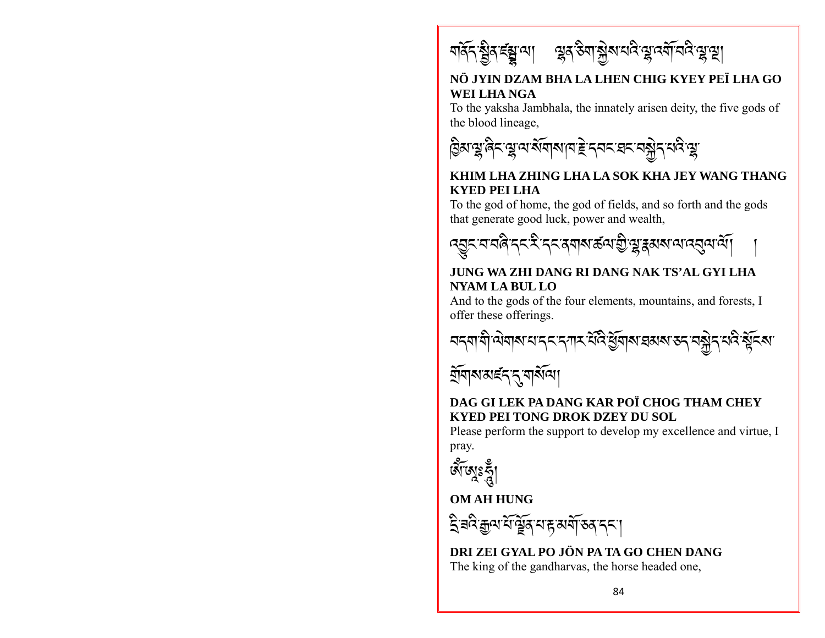

#### NÖ JYIN DZAM BHA LA LHEN CHIG KYEY PEÏ LHA GO WEI LHA NGA

To the yaksha Jambhala, the innately arisen deity, the five gods of the blood lineage,



#### KHIM LHA ZHING LHA LA SOK KHA JEY WANG THANG **KYED PEI LHA**

To the god of home, the god of fields, and so forth and the gods that generate good luck, power and wealth,



#### JUNG WA ZHI DANG RI DANG NAK TS'AL GYI LHA **NYAM LA BUL LO**

And to the gods of the four elements, mountains, and forests, I offer these offerings.



<u>ম্</u>ৰিমানাৰ্ছন নুমান্ত্ৰী

#### DAG GI LEK PA DANG KAR POÏ CHOG THAM CHEY **KYED PEI TONG DROK DZEY DU SOL**

Please perform the support to develop my excellence and virtue. I pray.

**GTEVS** 

#### **OM AH HUNG**

ঽৢৼড়৻ৼ৻ড়ৢৗৼ৻৸ৼ৸৻৸৻৸ঀ

DRI ZEI GYAL PO JÖN PA TA GO CHEN DANG The king of the gandharvas, the horse headed one,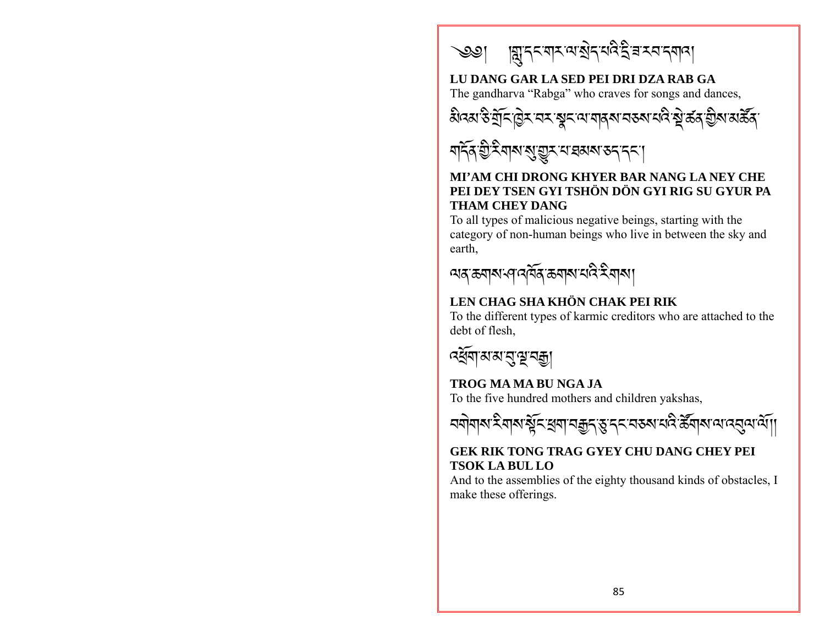

### LU DANG GAR LA SED PEI DRI DZA RAB GA

The gandharva "Rabga" who craves for songs and dances.





#### MI'AM CHI DRONG KHYER BAR NANG LA NEY CHE PEI DEY TSEN GYI TSHÖN DÖN GYI RIG SU GYUR PA **THAM CHEY DANG**

To all types of malicious negative beings, starting with the category of non-human beings who live in between the sky and earth,



# LEN CHAG SHA KHÖN CHAK PEI RIK

To the different types of karmic creditors who are attached to the debt of flesh,



# TROG MA MA BU NGA JA

To the five hundred mothers and children yakshas,

### **GEK RIK TONG TRAG GYEY CHU DANG CHEY PEI TSOK LA BUL LO**

And to the assemblies of the eighty thousand kinds of obstacles, I make these offerings.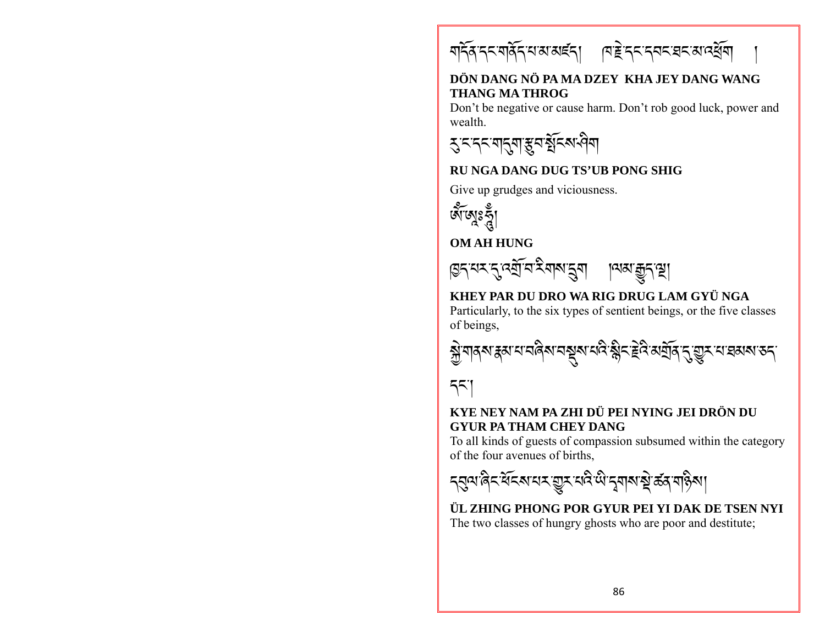<u>মৰ্দিৰ দ্বাৰ্থন মাৰাৰাৰ বিভিন্ন বিদ্যালয়ৰ বিদ্যালয়ৰ বিদ্যালয়ৰ বিদ্যালয়ৰ বিদ্যালয়ৰ বিদ্যালয়ৰ বিদ্যালয়ৰ ব</u>

#### DÖN DANG NÖ PA MA DZEY KHA JEY DANG WANG **THANG MA THROG**

Don't be negative or cause harm. Don't rob good luck, power and wealth.

**रु:न्दन्यानुबाङ्कनश्चन्त्रायीया** 

#### **RUNGA DANG DUG TS'UB PONG SHIG**

Give up grudges and viciousness.



**OM AH HUNG** 



# KHEY PAR DU DRO WA RIG DRUG LAM GYÜ NGA

Particularly, to the six types of sentient beings, or the five classes of beings.



# 551

#### KYE NEY NAM PA ZHI DÜ PEI NYING JEI DRÖN DU **GYUR PA THAM CHEY DANG**

To all kinds of guests of compassion subsumed within the category of the four avenues of births.



ÜL ZHING PHONG POR GYUR PEI YI DAK DE TSEN NYI The two classes of hungry ghosts who are poor and destitute;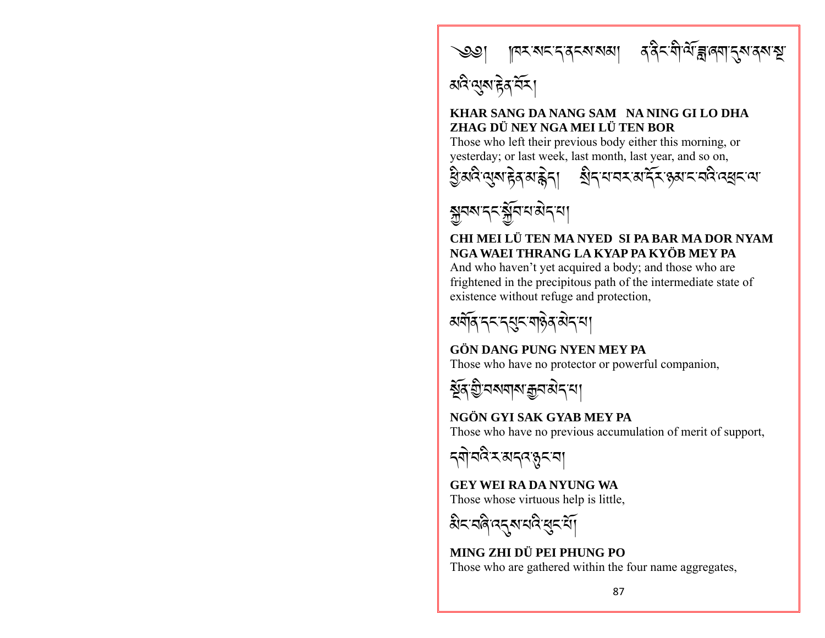

अविन्युरा हेन मेर।

#### KHAR SANG DA NANG SAM NA NING GI LO DHA ZHAG DÜ NEY NGA MEI LÜ TEN BOR

Those who left their previous body either this morning, or vesterday; or last week, last month, last year, and so on,





#### CHI MEI LÜ TEN MA NYED SI PA BAR MA DOR NYAM NGA WAEI THRANG LA KYAP PA KYÖB MEY PA

And who haven't yet acquired a body; and those who are frightened in the precipitous path of the intermediate state of existence without refuge and protection,



#### **GÖN DANG PUNG NYEN MEY PA** Those who have no protector or powerful companion,



#### NGÖN GYI SAK GYAB MEY PA Those who have no previous accumulation of merit of support,

য়ঀ৾য়ঽৼয়য়৻ৼৡৼয়

**GEY WEI RA DA NYUNG WA** Those whose virtuous help is little.

MING ZHI DÜ PEI PHUNG PO Those who are gathered within the four name aggregates,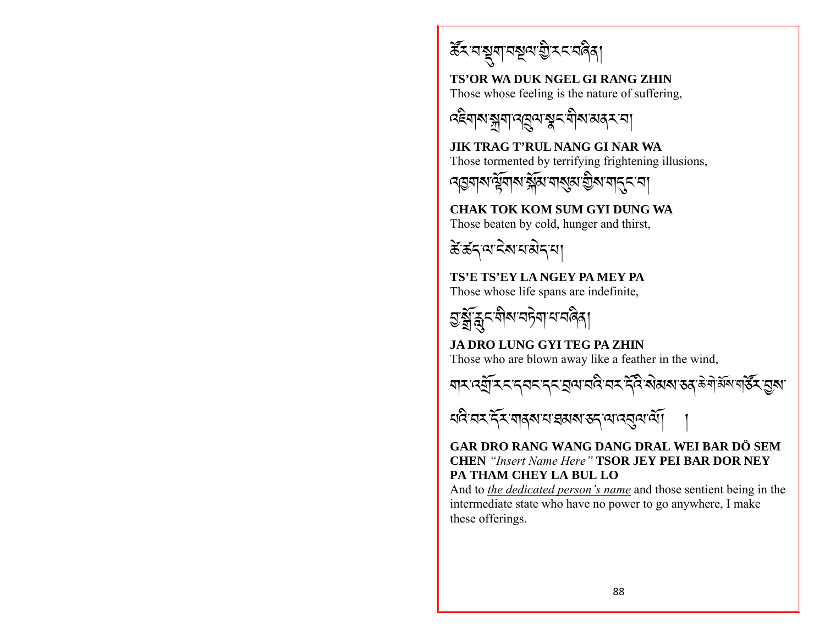ৰ্ক্টমানমুনাগুৰাই মনাবিদ্বা

**TS'OR WA DUK NGEL GI RANG ZHIN** Those whose feeling is the nature of suffering,



**JIK TRAG T'RUL NANG GI NAR WA** Those tormented by terrifying frightening illusions.

ঀড়য়য়৽ড়য়৸ৼৠঌ৻য়৾ঀয়৽ড়ৢ৸ৼঀৼ

**CHAK TOK KOM SUM GYI DUNG WA** Those beaten by cold, hunger and thirst,

रें डॅन्'व देव व बेन्'या

TS'E TS'EY LA NGEY PA MEY PA Those whose life spans are indefinite.



## **JA DRO LUNG GYI TEG PA ZHIN**

Those who are blown away like a feather in the wind,



<u> ধৰ্ম বৰ্ম শ্ৰমৰ প্ৰমাণ কৰা আৰম্ভ বিধি</u>

#### GAR DRO RANG WANG DANG DRAL WEI BAR DÖ SEM **CHEN** "Insert Name Here" **TSOR JEY PEI BAR DOR NEY** PA THAM CHEY LA BUL LO

And to the *dedicated person's name* and those sentient being in the intermediate state who have no power to go anywhere. I make these offerings.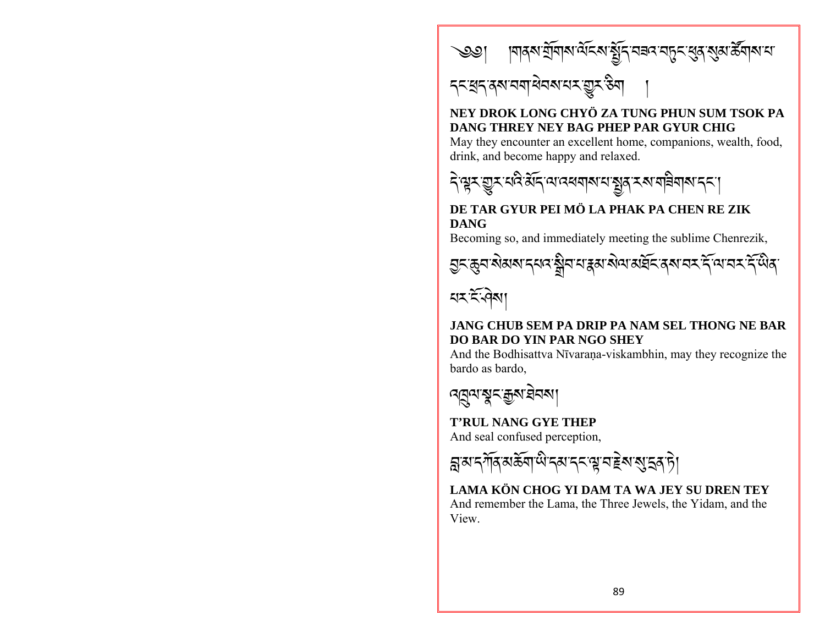

# 

# NEY DROK LONG CHYÖ ZA TUNG PHUN SUM TSOK PA DANG THREY NEY BAG PHEP PAR GYUR CHIG

May they encounter an excellent home, companions, wealth, food, drink, and become happy and relaxed.



## DE TAR GYUR PEI MÖ LA PHAK PA CHEN RE ZIK **DANG**

Becoming so, and immediately meeting the sublime Chenrezik,



# $55.91$

### JANG CHUB SEM PA DRIP PA NAM SEL THONG NE BAR DO BAR DO YIN PAR NGO SHEY

And the Bodhisattva Nīvaraṇa-viskambhin, may they recognize the bardo as bardo.

<u>নন্নুন'মুন'ক্কুম'ইনমা</u>

## **T'RUL NANG GYE THEP**

And seal confused perception,

য়ৢয়ৼ৸ঀৄ৶ড়ৢ৶ঢ়ৢ৸৻৸ৼ৸ৼ৸ৼ৸ৼ৸ৼ৸ৼ৸ৼ৸ৼ

LAMA KÖN CHOG YI DAM TA WA .IEY SU DREN TEY And remember the Lama, the Three Jewels, the Yidam, and the View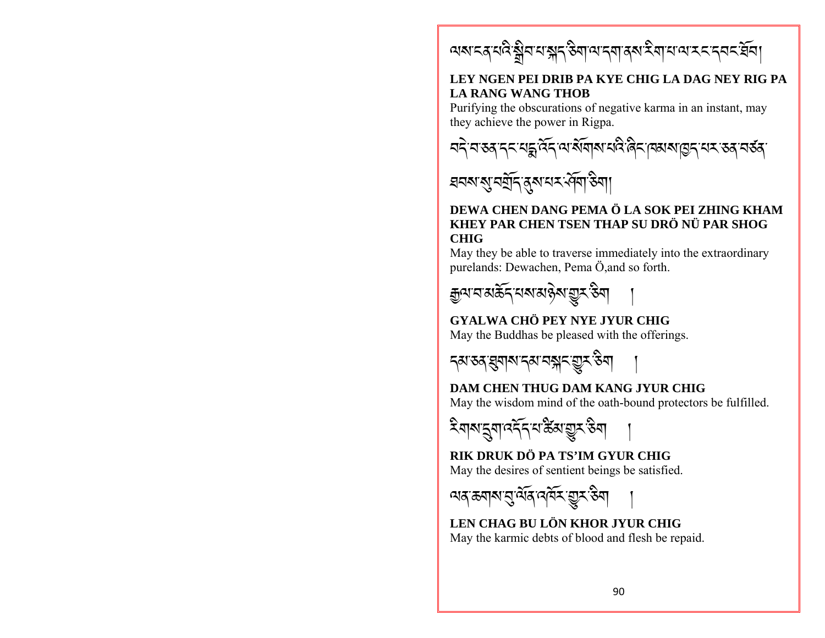অম্বেশ্বইষ্ট্ৰব্যস্ক্ৰ্বউন্মান্ত্ৰাৰ্থইনাধ্যম্বৰ্ব্ব্ব্ব্ব্

#### LEY NGEN PEI DRIB PA KYE CHIG LA DAG NEY RIG PA **LA RANG WANG THOB**

Purifying the obscurations of negative karma in an instant, may they achieve the power in Rigpa.





#### DEWA CHEN DANG PEMA Ö LA SOK PEI ZHING KHAM KHEY PAR CHEN TSEN THAP SU DRÖ NÜ PAR SHOG **CHIG**

May they be able to traverse immediately into the extraordinary purelands: Dewachen, Pema Ö, and so forth.



## GYALWA CHÖ PEY NYE JYUR CHIG

May the Buddhas be pleased with the offerings.



# **DAM CHEN THUG DAM KANG JYUR CHIG**

May the wisdom mind of the oath-bound protectors be fulfilled.

ঽয়য়ৼৢয়ঢ়ঽৼ৻ৼড়ৢৼ৻ড়য়

RIK DRUK DÖ PA TS'IM GYUR CHIG May the desires of sentient beings be satisfied.

অন্*ক*নাৰ ব্ৰুমৰ বৰ্ম মুস্কী

LEN CHAG BU LÖN KHOR JYUR CHIG May the karmic debts of blood and flesh be repaid.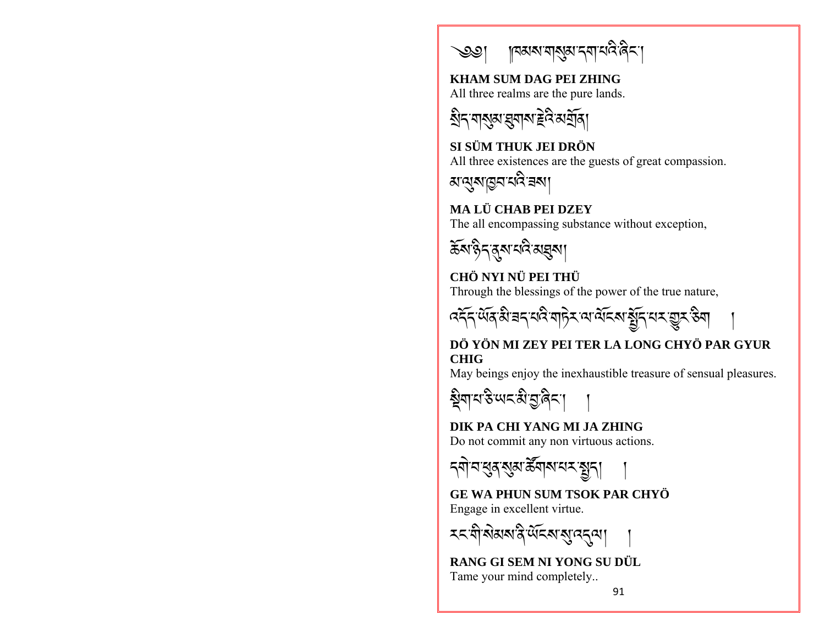

**KHAM SUM DAG PEI ZHING** 

All three realms are the pure lands.

য়ৢ৳ৼয়য়ৣয়ৼয়৸ৼঢ়ড়

SI SÜM THUK JEI DRÖN All three existences are the guests of great compassion.

ম'ঝুম'চুন'নবি'ৰমা

MA LÜ CHAB PEI DZEY The all encompassing substance without exception,



# CHÖ NYI NÜ PEI THÜ

Through the blessings of the power of the true nature,



### DÖ YÖN MI ZEY PEI TER LA LONG CHYÖ PAR GYUR **CHIG**

May beings enjoy the inexhaustible treasure of sensual pleasures.



# DIK PA CHI YANG MI JA ZHING

Do not commit any non virtuous actions.



# **GE WA PHUN SUM TSOK PAR CHYÖ**

Engage in excellent virtue.

**মন'মী'ৰামৰা'নী'ৰ্ডৰোৰ্'নেন কা** 

RANG GI SEM NI YONG SU DÜL Tame your mind completely...